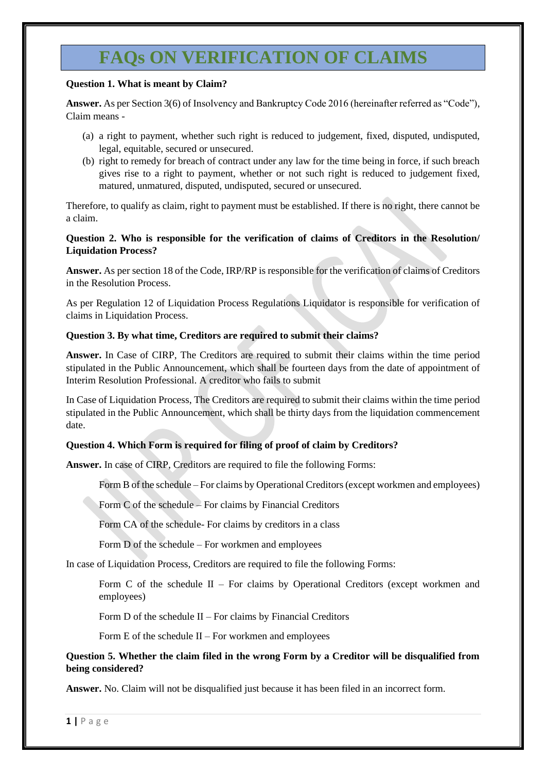# **FAQs ON VERIFICATION OF CLAIMS**

#### **Question 1. What is meant by Claim?**

Answer. As per Section 3(6) of Insolvency and Bankruptcy Code 2016 (hereinafter referred as "Code"), Claim means -

- (a) a right to payment, whether such right is reduced to judgement, fixed, disputed, undisputed, legal, equitable, secured or unsecured.
- (b) right to remedy for breach of contract under any law for the time being in force, if such breach gives rise to a right to payment, whether or not such right is reduced to judgement fixed, matured, unmatured, disputed, undisputed, secured or unsecured.

Therefore, to qualify as claim, right to payment must be established. If there is no right, there cannot be a claim.

# **Question 2. Who is responsible for the verification of claims of Creditors in the Resolution/ Liquidation Process?**

**Answer.** As per section 18 of the Code, IRP/RP is responsible for the verification of claims of Creditors in the Resolution Process.

As per Regulation 12 of Liquidation Process Regulations Liquidator is responsible for verification of claims in Liquidation Process.

### **Question 3. By what time, Creditors are required to submit their claims?**

**Answer.** In Case of CIRP, The Creditors are required to submit their claims within the time period stipulated in the Public Announcement, which shall be fourteen days from the date of appointment of Interim Resolution Professional. A creditor who fails to submit

In Case of Liquidation Process, The Creditors are required to submit their claims within the time period stipulated in the Public Announcement, which shall be thirty days from the liquidation commencement date.

#### **Question 4. Which Form is required for filing of proof of claim by Creditors?**

**Answer.** In case of CIRP, Creditors are required to file the following Forms:

Form B of the schedule – For claims by Operational Creditors (except workmen and employees)

Form C of the schedule – For claims by Financial Creditors

Form CA of the schedule- For claims by creditors in a class

Form D of the schedule – For workmen and employees

In case of Liquidation Process, Creditors are required to file the following Forms:

Form C of the schedule  $II$  – For claims by Operational Creditors (except workmen and employees)

Form D of the schedule II – For claims by Financial Creditors

Form  $E$  of the schedule  $II$  – For workmen and employees

# **Question 5. Whether the claim filed in the wrong Form by a Creditor will be disqualified from being considered?**

**Answer.** No. Claim will not be disqualified just because it has been filed in an incorrect form.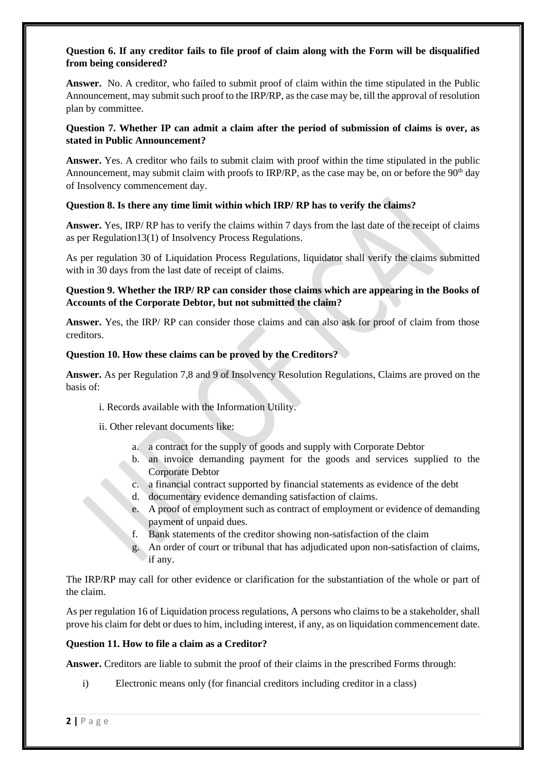# **Question 6. If any creditor fails to file proof of claim along with the Form will be disqualified from being considered?**

**Answer.** No. A creditor, who failed to submit proof of claim within the time stipulated in the Public Announcement, may submit such proof to the IRP/RP, as the case may be, till the approval of resolution plan by committee.

# **Question 7. Whether IP can admit a claim after the period of submission of claims is over, as stated in Public Announcement?**

**Answer.** Yes. A creditor who fails to submit claim with proof within the time stipulated in the public Announcement, may submit claim with proofs to IRP/RP, as the case may be, on or before the 90<sup>th</sup> day of Insolvency commencement day.

# **Question 8. Is there any time limit within which IRP/ RP has to verify the claims?**

**Answer.** Yes, IRP/ RP has to verify the claims within 7 days from the last date of the receipt of claims as per Regulation13(1) of Insolvency Process Regulations.

As per regulation 30 of Liquidation Process Regulations, liquidator shall verify the claims submitted with in 30 days from the last date of receipt of claims.

# **Question 9. Whether the IRP/ RP can consider those claims which are appearing in the Books of Accounts of the Corporate Debtor, but not submitted the claim?**

Answer. Yes, the IRP/ RP can consider those claims and can also ask for proof of claim from those creditors.

#### **Question 10. How these claims can be proved by the Creditors?**

**Answer.** As per Regulation 7,8 and 9 of Insolvency Resolution Regulations, Claims are proved on the basis of:

- i. Records available with the Information Utility.
- ii. Other relevant documents like:
	- a. a contract for the supply of goods and supply with Corporate Debtor
	- b. an invoice demanding payment for the goods and services supplied to the Corporate Debtor
	- c. a financial contract supported by financial statements as evidence of the debt
	- d. documentary evidence demanding satisfaction of claims.
	- e. A proof of employment such as contract of employment or evidence of demanding payment of unpaid dues.
	- f. Bank statements of the creditor showing non-satisfaction of the claim
	- g. An order of court or tribunal that has adjudicated upon non-satisfaction of claims, if any.

The IRP/RP may call for other evidence or clarification for the substantiation of the whole or part of the claim.

As per regulation 16 of Liquidation process regulations, A persons who claims to be a stakeholder, shall prove his claim for debt or dues to him, including interest, if any, as on liquidation commencement date.

#### **Question 11. How to file a claim as a Creditor?**

**Answer.** Creditors are liable to submit the proof of their claims in the prescribed Forms through:

i) Electronic means only (for financial creditors including creditor in a class)